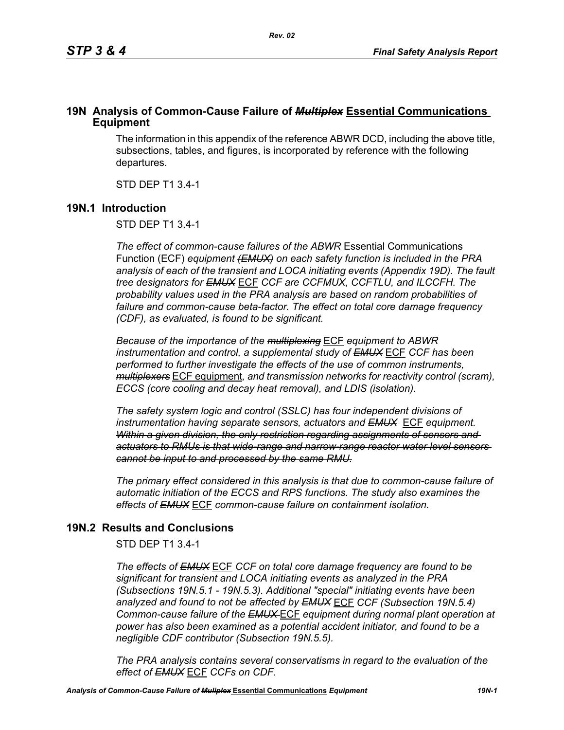# **19N Analysis of Common-Cause Failure of** *Multiplex* **Essential Communications Equipment**

The information in this appendix of the reference ABWR DCD, including the above title, subsections, tables, and figures, is incorporated by reference with the following departures.

STD DEP T1 3.4-1

# **19N.1 Introduction**

STD DEP T1 3.4-1

*The effect of common-cause failures of the ABWR* Essential Communications Function (ECF) *equipment (EMUX) on each safety function is included in the PRA analysis of each of the transient and LOCA initiating events (Appendix 19D). The fault tree designators for EMUX* ECF *CCF are CCFMUX, CCFTLU, and ILCCFH. The probability values used in the PRA analysis are based on random probabilities of failure and common-cause beta-factor. The effect on total core damage frequency (CDF), as evaluated, is found to be significant.* 

*Because of the importance of the multiplexing* ECF *equipment to ABWR instrumentation and control, a supplemental study of EMUX* ECF *CCF has been performed to further investigate the effects of the use of common instruments, multiplexers* ECF equipment*, and transmission networks for reactivity control (scram), ECCS (core cooling and decay heat removal), and LDIS (isolation).* 

*The safety system logic and control (SSLC) has four independent divisions of instrumentation having separate sensors, actuators and EMUX* ECF *equipment. Within a given division, the only restriction regarding assignments of sensors and actuators to RMUs is that wide-range and narrow-range reactor water level sensors cannot be input to and processed by the same RMU.*

*The primary effect considered in this analysis is that due to common-cause failure of automatic initiation of the ECCS and RPS functions. The study also examines the effects of EMUX* ECF *common-cause failure on containment isolation.* 

# **19N.2 Results and Conclusions**

STD DEP T1 3.4-1

*The effects of EMUX* ECF *CCF on total core damage frequency are found to be significant for transient and LOCA initiating events as analyzed in the PRA (Subsections 19N.5.1 - 19N.5.3). Additional "special" initiating events have been analyzed and found to not be affected by EMUX* ECF *CCF (Subsection 19N.5.4) Common-cause failure of the EMUX* ECF *equipment during normal plant operation at power has also been examined as a potential accident initiator, and found to be a negligible CDF contributor (Subsection 19N.5.5).* 

*The PRA analysis contains several conservatisms in regard to the evaluation of the effect of EMUX* ECF *CCFs on CDF.*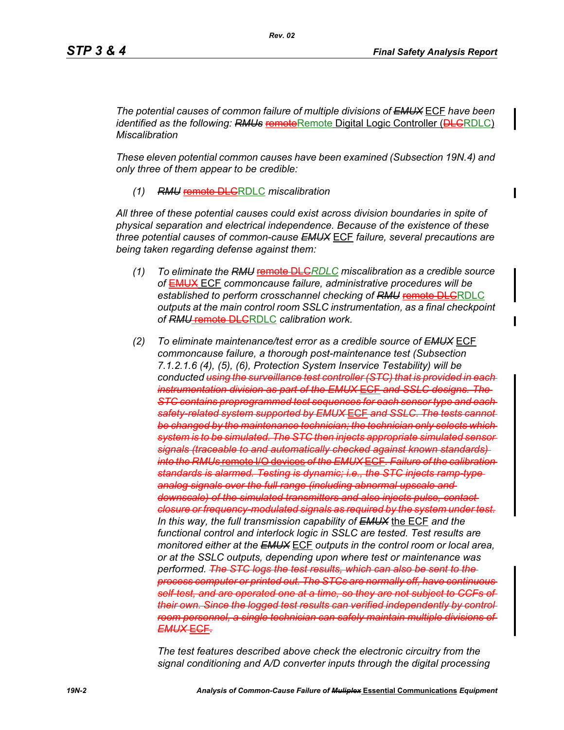*The potential causes of common failure of multiple divisions of EMUX* ECF *have been identified as the following: RMUs* remoteRemote Digital Logic Controller (DLGRDLC) *Miscalibration*

*These eleven potential common causes have been examined (Subsection 19N.4) and only three of them appear to be credible:*

*(1) RMU* remote DLCRDLC *miscalibration*

*All three of these potential causes could exist across division boundaries in spite of physical separation and electrical independence. Because of the existence of these three potential causes of common-cause EMUX* ECF *failure, several precautions are being taken regarding defense against them:*

- *(1) To eliminate the RMU* remote DLC*RDLC miscalibration as a credible source of* EMUX ECF *commoncause failure, administrative procedures will be*  established to perform crosschannel checking of RMU remote DLGRDLC *outputs at the main control room SSLC instrumentation, as a final checkpoint of RMU* remote DLCRDLC *calibration work.*
- *(2) To eliminate maintenance/test error as a credible source of EMUX* ECF *commoncause failure, a thorough post-maintenance test (Subsection 7.1.2.1.6 (4), (5), (6), Protection System Inservice Testability) will be conducted using the surveillance test controller (STC) that is provided in each instrumentation division as part of the EMUX* ECF *and SSLC designs. The STC contains preprogrammed test sequences for each sensor type and each safety-related system supported by EMUX* ECF *and SSLC. The tests cannot be changed by the maintenance technician; the technician only selects which system is to be simulated. The STC then injects appropriate simulated sensor signals (traceable to and automatically checked against known standards) into the RMUs* remote I/O devices *of the EMUX* ECF*. Failure of the calibration standards is alarmed. Testing is dynamic; i.e., the STC injects ramp-type analog signals over the full range (including abnormal upscale and downscale) of the simulated transmitters and also injects pulse, contact closure or frequency-modulated signals as required by the system under test. In this way, the full transmission capability of EMUX* the ECF *and the functional control and interlock logic in SSLC are tested. Test results are monitored either at the EMUX* ECF *outputs in the control room or local area, or at the SSLC outputs, depending upon where test or maintenance was performed. The STC logs the test results, which can also be sent to the process computer or printed out. The STCs are normally off, have continuous self-test, and are operated one at a time, so they are not subject to CCFs of their own. Since the logged test results can verified independently by control room personnel, a single technician can safely maintain multiple divisions of EMUX* ECF*.*

*The test features described above check the electronic circuitry from the signal conditioning and A/D converter inputs through the digital processing*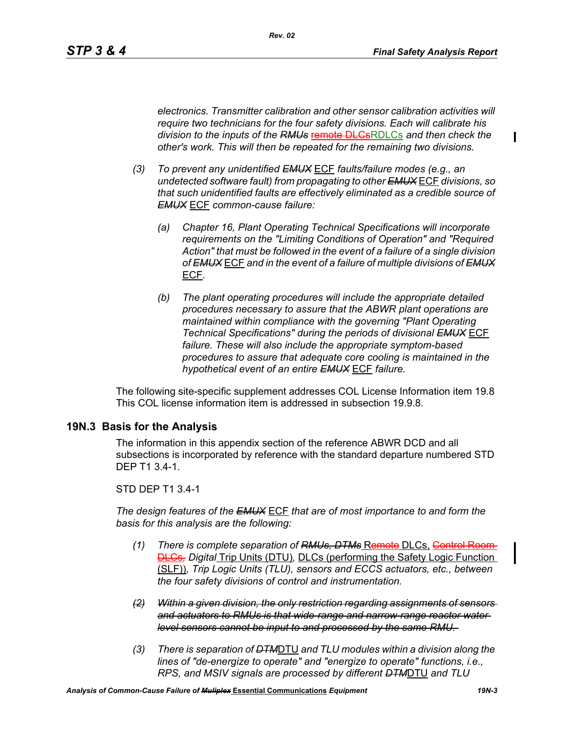$\mathbf I$ 

*electronics. Transmitter calibration and other sensor calibration activities will require two technicians for the four safety divisions. Each will calibrate his division to the inputs of the RMUs* remote DLCsRDLCs *and then check the other's work. This will then be repeated for the remaining two divisions.*

- *(3) To prevent any unidentified EMUX* ECF *faults/failure modes (e.g., an undetected software fault) from propagating to other EMUX* ECF *divisions, so that such unidentified faults are effectively eliminated as a credible source of EMUX* ECF *common-cause failure:* 
	- *(a) Chapter 16, Plant Operating Technical Specifications will incorporate requirements on the "Limiting Conditions of Operation" and "Required Action" that must be followed in the event of a failure of a single division of EMUX* ECF *and in the event of a failure of multiple divisions of EMUX* ECF*.*
	- *(b) The plant operating procedures will include the appropriate detailed procedures necessary to assure that the ABWR plant operations are maintained within compliance with the governing "Plant Operating Technical Specifications" during the periods of divisional EMUX* ECF *failure. These will also include the appropriate symptom-based procedures to assure that adequate core cooling is maintained in the hypothetical event of an entire EMUX* ECF *failure.*

The following site-specific supplement addresses COL License Information item 19.8 This COL license information item is addressed in subsection 19.9.8.

### **19N.3 Basis for the Analysis**

The information in this appendix section of the reference ABWR DCD and all subsections is incorporated by reference with the standard departure numbered STD DEP T1 3.4-1.

STD DEP T1 3.4-1

*The design features of the EMUX* ECF *that are of most importance to and form the basis for this analysis are the following:*

- *(1) There is complete separation of RMUs, DTMs* Remote DLCs, Control Room **DLCs**, Digital Trip Units (DTU), DLCs (performing the Safety Logic Function (SLF))*, Trip Logic Units (TLU), sensors and ECCS actuators, etc., between the four safety divisions of control and instrumentation.*
- *(2) Within a given division, the only restriction regarding assignments of sensors and actuators to RMUs is that wide-range and narrow-range reactor water level sensors cannot be input to and processed by the same RMU.*
- *(3) There is separation of DTM*DTU *and TLU modules within a division along the lines of "de-energize to operate" and "energize to operate" functions, i.e., RPS, and MSIV signals are processed by different DTM*DTU *and TLU*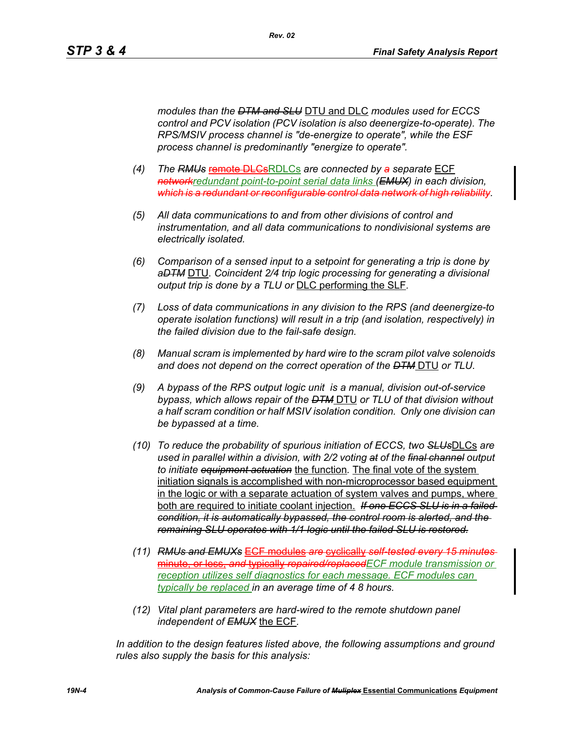*modules than the DTM and SLU* DTU and DLC *modules used for ECCS control and PCV isolation (PCV isolation is also deenergize-to-operate). The RPS/MSIV process channel is "de-energize to operate", while the ESF process channel is predominantly "energize to operate".* 

- *(4) The RMUs* remote DLCsRDLCs *are connected by a separate* ECF *networkredundant point-to-point serial data links (EMUX) in each division, which is a redundant or reconfigurable control data network of high reliability.*
- *(5) All data communications to and from other divisions of control and instrumentation, and all data communications to nondivisional systems are electrically isolated.*
- *(6) Comparison of a sensed input to a setpoint for generating a trip is done by aDTM* DTU*. Coincident 2/4 trip logic processing for generating a divisional output trip is done by a TLU or* DLC performing the SLF*.*
- *(7) Loss of data communications in any division to the RPS (and deenergize-to operate isolation functions) will result in a trip (and isolation, respectively) in the failed division due to the fail-safe design.*
- *(8) Manual scram is implemented by hard wire to the scram pilot valve solenoids and does not depend on the correct operation of the DTM* DTU *or TLU.*
- *(9) A bypass of the RPS output logic unit is a manual, division out-of-service bypass, which allows repair of the DTM* DTU *or TLU of that division without a half scram condition or half MSIV isolation condition. Only one division can be bypassed at a time.*
- *(10) To reduce the probability of spurious initiation of ECCS, two SLUs*DLCs *are used in parallel within a division, with 2/2 voting at of the final channel output to initiate equipment actuation* the function*.* The final vote of the system initiation signals is accomplished with non-microprocessor based equipment in the logic or with a separate actuation of system valves and pumps, where both are required to initiate coolant injection. *If one ECCS SLU is in a failed condition, it is automatically bypassed, the control room is alerted, and the remaining SLU operates with 1/1 logic until the failed SLU is restored.*
- *(11) RMUs and EMUXs* ECF modules *are* cyclically *self-tested every 15 minutes* minute, or less, *and* typically *repaired/replacedECF module transmission or reception utilizes self diagnostics for each message. ECF modules can typically be replaced in an average time of 4 8 hours.*
- *(12) Vital plant parameters are hard-wired to the remote shutdown panel independent of EMUX* the ECF*.*

*In addition to the design features listed above, the following assumptions and ground rules also supply the basis for this analysis:*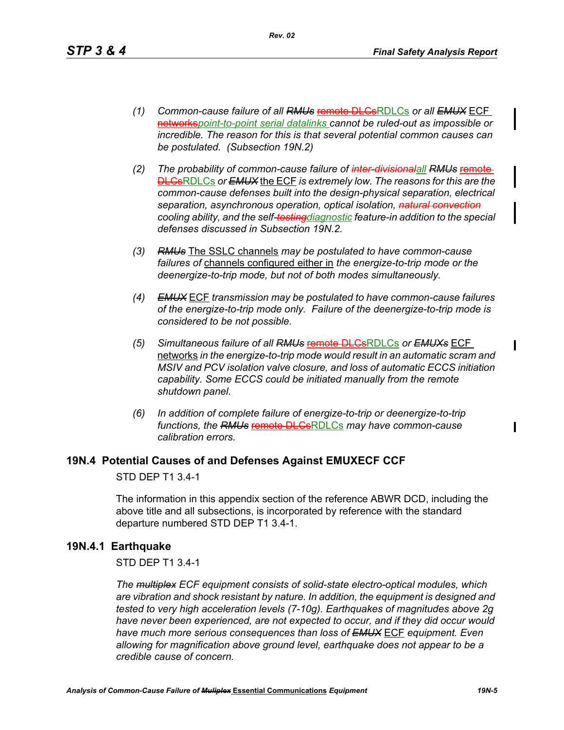- *(1) Common-cause failure of all RMUs* remote DLCsRDLCs *or all EMUX* ECF networks*point-to-point serial datalinks cannot be ruled-out as impossible or incredible. The reason for this is that several potential common causes can be postulated. (Subsection 19N.2)*
- *(2) The probability of common-cause failure of inter-divisionalall RMUs* remote DLCsRDLCs *or EMUX* the ECF *is extremely low. The reasons for this are the common-cause defenses built into the design-physical separation, electrical separation, asynchronous operation, optical isolation, natural convection cooling ability, and the self-testingdiagnostic feature-in addition to the special defenses discussed in Subsection 19N.2.*
- *(3) RMUs* The SSLC channels *may be postulated to have common-cause failures of* channels configured either in *the energize-to-trip mode or the deenergize-to-trip mode, but not of both modes simultaneously.*
- *(4) EMUX* ECF *transmission may be postulated to have common-cause failures of the energize-to-trip mode only. Failure of the deenergize-to-trip mode is considered to be not possible.*
- *(5) Simultaneous failure of all RMUs* remote DLCsRDLCs *or EMUXs* ECF networks *in the energize-to-trip mode would result in an automatic scram and MSIV and PCV isolation valve closure, and loss of automatic ECCS initiation capability. Some ECCS could be initiated manually from the remote shutdown panel.*
- *(6) In addition of complete failure of energize-to-trip or deenergize-to-trip functions, the RMUs* remote DLCsRDLCs *may have common-cause calibration errors.*

### **19N.4 Potential Causes of and Defenses Against EMUXECF CCF**

STD DEP T1 3.4-1

The information in this appendix section of the reference ABWR DCD, including the above title and all subsections, is incorporated by reference with the standard departure numbered STD DEP T1 3.4-1.

### **19N.4.1 Earthquake**

#### STD DEP T1 3.4-1

*The multiplex ECF equipment consists of solid-state electro-optical modules, which are vibration and shock resistant by nature. In addition, the equipment is designed and tested to very high acceleration levels (7-10g). Earthquakes of magnitudes above 2g have never been experienced, are not expected to occur, and if they did occur would have much more serious consequences than loss of EMUX* ECF *equipment. Even allowing for magnification above ground level, earthquake does not appear to be a credible cause of concern.*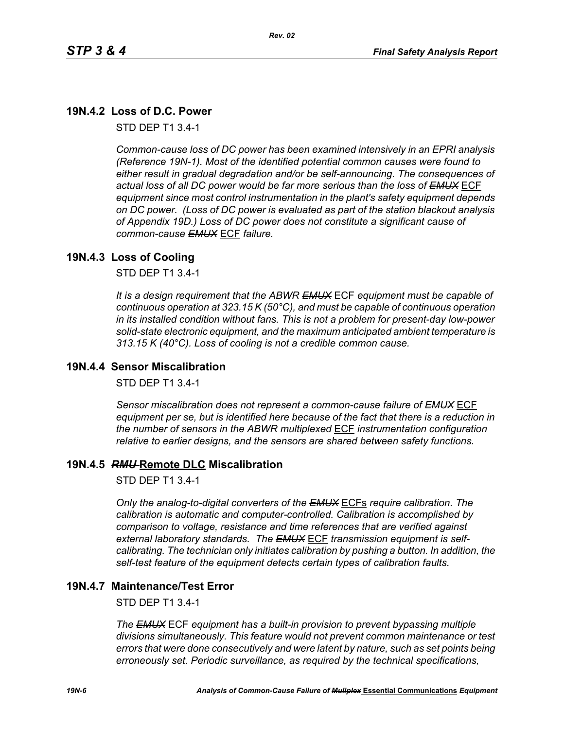# **19N.4.2 Loss of D.C. Power**

STD DEP T1 3.4-1

*Common-cause loss of DC power has been examined intensively in an EPRI analysis (Reference 19N-1). Most of the identified potential common causes were found to either result in gradual degradation and/or be self-announcing. The consequences of actual loss of all DC power would be far more serious than the loss of EMUX* ECF *equipment since most control instrumentation in the plant's safety equipment depends on DC power. (Loss of DC power is evaluated as part of the station blackout analysis of Appendix 19D.) Loss of DC power does not constitute a significant cause of common-cause EMUX* ECF *failure.* 

# **19N.4.3 Loss of Cooling**

STD DEP T1 3.4-1

*It is a design requirement that the ABWR EMUX* ECF *equipment must be capable of continuous operation at 323.15 K (50°C), and must be capable of continuous operation in its installed condition without fans. This is not a problem for present-day low-power solid-state electronic equipment, and the maximum anticipated ambient temperature is 313.15 K (40°C). Loss of cooling is not a credible common cause.* 

## **19N.4.4 Sensor Miscalibration**

STD DEP T1 3.4-1

*Sensor miscalibration does not represent a common-cause failure of EMUX* ECF *equipment per se, but is identified here because of the fact that there is a reduction in the number of sensors in the ABWR multiplexed* ECF *instrumentation configuration relative to earlier designs, and the sensors are shared between safety functions.* 

### **19N.4.5** *RMU* **Remote DLC Miscalibration**

STD DEP T1 3.4-1

*Only the analog-to-digital converters of the EMUX* ECFs *require calibration. The calibration is automatic and computer-controlled. Calibration is accomplished by comparison to voltage, resistance and time references that are verified against external laboratory standards. The EMUX* ECF *transmission equipment is selfcalibrating. The technician only initiates calibration by pushing a button. In addition, the self-test feature of the equipment detects certain types of calibration faults.* 

### **19N.4.7 Maintenance/Test Error**

STD DEP T1 3.4-1

*The EMUX* ECF *equipment has a built-in provision to prevent bypassing multiple divisions simultaneously. This feature would not prevent common maintenance or test errors that were done consecutively and were latent by nature, such as set points being erroneously set. Periodic surveillance, as required by the technical specifications,*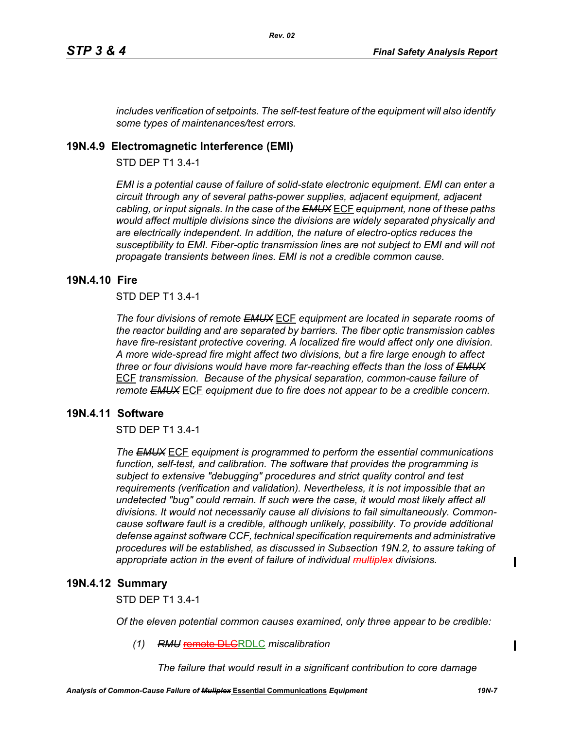*includes verification of setpoints. The self-test feature of the equipment will also identify some types of maintenances/test errors.* 

# **19N.4.9 Electromagnetic Interference (EMI)**

STD DEP T1 3.4-1

*EMI is a potential cause of failure of solid-state electronic equipment. EMI can enter a circuit through any of several paths-power supplies, adjacent equipment, adjacent cabling, or input signals. In the case of the EMUX* ECF *equipment, none of these paths would affect multiple divisions since the divisions are widely separated physically and are electrically independent. In addition, the nature of electro-optics reduces the susceptibility to EMI. Fiber-optic transmission lines are not subject to EMI and will not propagate transients between lines. EMI is not a credible common cause.* 

# **19N.4.10 Fire**

STD DEP T1 3.4-1

*The four divisions of remote EMUX* ECF *equipment are located in separate rooms of the reactor building and are separated by barriers. The fiber optic transmission cables have fire-resistant protective covering. A localized fire would affect only one division. A more wide-spread fire might affect two divisions, but a fire large enough to affect three or four divisions would have more far-reaching effects than the loss of EMUX* ECF *transmission. Because of the physical separation, common-cause failure of remote EMUX* ECF *equipment due to fire does not appear to be a credible concern.* 

# **19N.4.11 Software**

STD DEP T1 3.4-1

*The EMUX* ECF *equipment is programmed to perform the essential communications function, self-test, and calibration. The software that provides the programming is subject to extensive "debugging" procedures and strict quality control and test requirements (verification and validation). Nevertheless, it is not impossible that an undetected "bug" could remain. If such were the case, it would most likely affect all divisions. It would not necessarily cause all divisions to fail simultaneously. Commoncause software fault is a credible, although unlikely, possibility. To provide additional defense against software CCF, technical specification requirements and administrative procedures will be established, as discussed in Subsection 19N.2, to assure taking of appropriate action in the event of failure of individual multiplex divisions.* 

### **19N.4.12 Summary**

STD DEP T1 3.4-1

*Of the eleven potential common causes examined, only three appear to be credible:* 

*(1) RMU* remote DLCRDLC *miscalibration*

*The failure that would result in a significant contribution to core damage* 

Ι

Π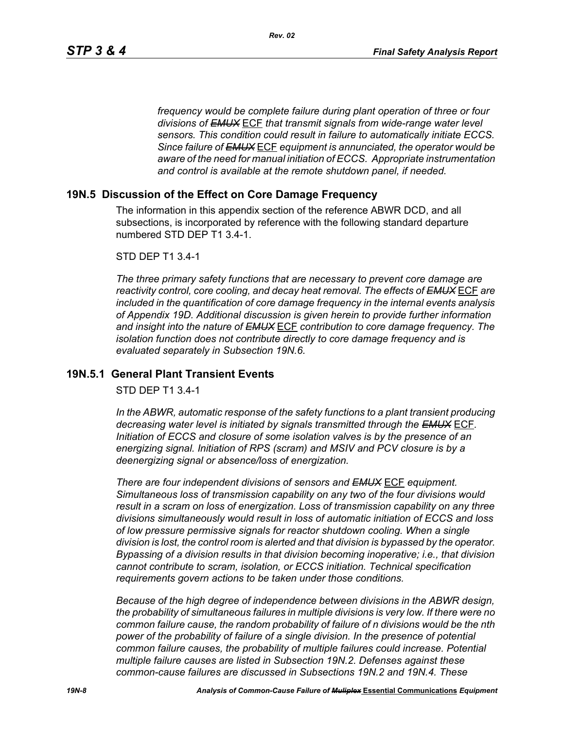*frequency would be complete failure during plant operation of three or four divisions of EMUX* ECF *that transmit signals from wide-range water level sensors. This condition could result in failure to automatically initiate ECCS. Since failure of EMUX* ECF *equipment is annunciated, the operator would be aware of the need for manual initiation of ECCS. Appropriate instrumentation and control is available at the remote shutdown panel, if needed.* 

### **19N.5 Discussion of the Effect on Core Damage Frequency**

The information in this appendix section of the reference ABWR DCD, and all subsections, is incorporated by reference with the following standard departure numbered STD DEP T1 3.4-1.

#### STD DEP T1 3.4-1

*The three primary safety functions that are necessary to prevent core damage are reactivity control, core cooling, and decay heat removal. The effects of EMUX* ECF *are included in the quantification of core damage frequency in the internal events analysis of Appendix 19D. Additional discussion is given herein to provide further information and insight into the nature of EMUX* ECF *contribution to core damage frequency. The isolation function does not contribute directly to core damage frequency and is evaluated separately in Subsection 19N.6.* 

# **19N.5.1 General Plant Transient Events**

STD DEP T1 3.4-1

*In the ABWR, automatic response of the safety functions to a plant transient producing decreasing water level is initiated by signals transmitted through the EMUX* ECF*. Initiation of ECCS and closure of some isolation valves is by the presence of an energizing signal. Initiation of RPS (scram) and MSIV and PCV closure is by a deenergizing signal or absence/loss of energization.* 

*There are four independent divisions of sensors and EMUX* ECF *equipment. Simultaneous loss of transmission capability on any two of the four divisions would result in a scram on loss of energization. Loss of transmission capability on any three divisions simultaneously would result in loss of automatic initiation of ECCS and loss of low pressure permissive signals for reactor shutdown cooling. When a single division is lost, the control room is alerted and that division is bypassed by the operator. Bypassing of a division results in that division becoming inoperative; i.e., that division cannot contribute to scram, isolation, or ECCS initiation. Technical specification requirements govern actions to be taken under those conditions.* 

*Because of the high degree of independence between divisions in the ABWR design, the probability of simultaneous failures in multiple divisions is very low. If there were no common failure cause, the random probability of failure of n divisions would be the nth power of the probability of failure of a single division. In the presence of potential common failure causes, the probability of multiple failures could increase. Potential multiple failure causes are listed in Subsection 19N.2. Defenses against these common-cause failures are discussed in Subsections 19N.2 and 19N.4. These*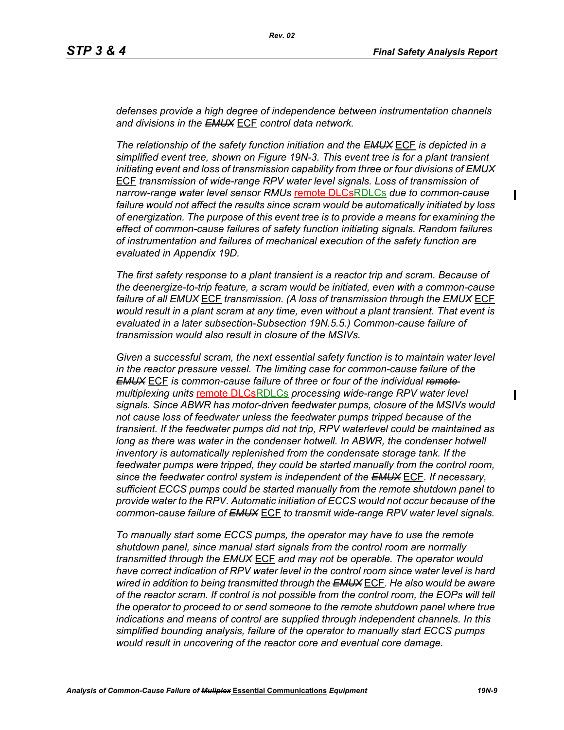$\blacksquare$ 

П

*defenses provide a high degree of independence between instrumentation channels and divisions in the EMUX* ECF *control data network.* 

*The relationship of the safety function initiation and the EMUX* ECF *is depicted in a simplified event tree, shown on Figure 19N-3. This event tree is for a plant transient initiating event and loss of transmission capability from three or four divisions of EMUX* ECF *transmission of wide-range RPV water level signals. Loss of transmission of narrow-range water level sensor RMUs* remote DLCsRDLCs *due to common-cause failure would not affect the results since scram would be automatically initiated by loss of energization. The purpose of this event tree is to provide a means for examining the effect of common-cause failures of safety function initiating signals. Random failures of instrumentation and failures of mechanical execution of the safety function are evaluated in Appendix 19D.*

*The first safety response to a plant transient is a reactor trip and scram. Because of the deenergize-to-trip feature, a scram would be initiated, even with a common-cause failure of all EMUX* ECF *transmission. (A loss of transmission through the EMUX* ECF *would result in a plant scram at any time, even without a plant transient. That event is evaluated in a later subsection-Subsection 19N.5.5.) Common-cause failure of transmission would also result in closure of the MSIVs.* 

*Given a successful scram, the next essential safety function is to maintain water level in the reactor pressure vessel. The limiting case for common-cause failure of the EMUX* ECF *is common-cause failure of three or four of the individual remote multiplexing units* remote DLCsRDLCs *processing wide-range RPV water level signals. Since ABWR has motor-driven feedwater pumps, closure of the MSIVs would not cause loss of feedwater unless the feedwater pumps tripped because of the transient. If the feedwater pumps did not trip, RPV waterlevel could be maintained as*  long as there was water in the condenser hotwell. In ABWR, the condenser hotwell *inventory is automatically replenished from the condensate storage tank. If the feedwater pumps were tripped, they could be started manually from the control room, since the feedwater control system is independent of the EMUX* ECF*. If necessary, sufficient ECCS pumps could be started manually from the remote shutdown panel to provide water to the RPV. Automatic initiation of ECCS would not occur because of the common-cause failure of EMUX* ECF *to transmit wide-range RPV water level signals.* 

*To manually start some ECCS pumps, the operator may have to use the remote shutdown panel, since manual start signals from the control room are normally transmitted through the EMUX* ECF *and may not be operable. The operator would have correct indication of RPV water level in the control room since water level is hard wired in addition to being transmitted through the EMUX* ECF*. He also would be aware of the reactor scram. If control is not possible from the control room, the EOPs will tell the operator to proceed to or send someone to the remote shutdown panel where true indications and means of control are supplied through independent channels. In this simplified bounding analysis, failure of the operator to manually start ECCS pumps would result in uncovering of the reactor core and eventual core damage.*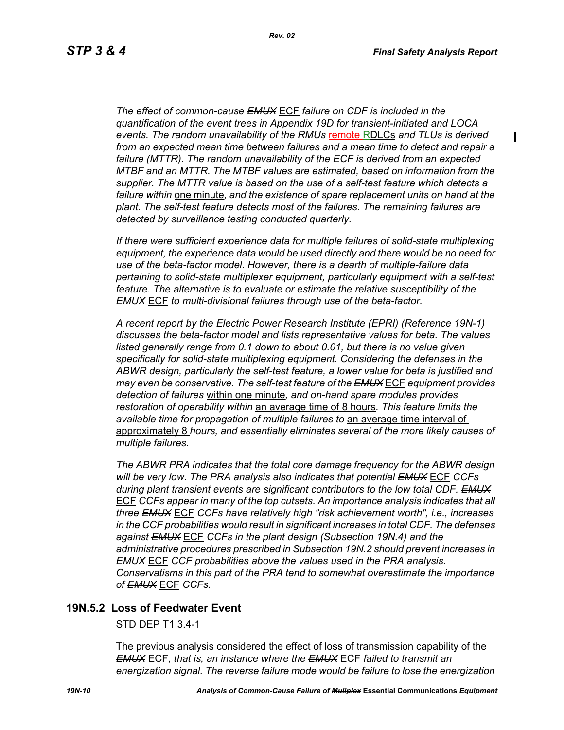$\blacksquare$ 

*The effect of common-cause EMUX* ECF *failure on CDF is included in the quantification of the event trees in Appendix 19D for transient-initiated and LOCA events. The random unavailability of the RMUs* remote RDLCs *and TLUs is derived from an expected mean time between failures and a mean time to detect and repair a failure (MTTR). The random unavailability of the ECF is derived from an expected MTBF and an MTTR. The MTBF values are estimated, based on information from the supplier. The MTTR value is based on the use of a self-test feature which detects a failure within* one minute*, and the existence of spare replacement units on hand at the plant. The self-test feature detects most of the failures. The remaining failures are detected by surveillance testing conducted quarterly.* 

*If there were sufficient experience data for multiple failures of solid-state multiplexing equipment, the experience data would be used directly and there would be no need for use of the beta-factor model. However, there is a dearth of multiple-failure data pertaining to solid-state multiplexer equipment, particularly equipment with a self-test feature. The alternative is to evaluate or estimate the relative susceptibility of the EMUX* ECF *to multi-divisional failures through use of the beta-factor.* 

*A recent report by the Electric Power Research Institute (EPRI) (Reference 19N-1) discusses the beta-factor model and lists representative values for beta. The values*  listed generally range from 0.1 down to about 0.01, but there is no value given *specifically for solid-state multiplexing equipment. Considering the defenses in the ABWR design, particularly the self-test feature, a lower value for beta is justified and may even be conservative. The self-test feature of the EMUX* ECF *equipment provides detection of failures* within one minute*, and on-hand spare modules provides restoration of operability within* an average time of 8 hours*. This feature limits the available time for propagation of multiple failures to* an average time interval of approximately 8 *hours, and essentially eliminates several of the more likely causes of multiple failures.* 

*The ABWR PRA indicates that the total core damage frequency for the ABWR design will be very low. The PRA analysis also indicates that potential EMUX* ECF *CCFs during plant transient events are significant contributors to the low total CDF. EMUX* ECF *CCFs appear in many of the top cutsets. An importance analysis indicates that all three EMUX* ECF *CCFs have relatively high "risk achievement worth", i.e., increases in the CCF probabilities would result in significant increases in total CDF. The defenses against EMUX* ECF *CCFs in the plant design (Subsection 19N.4) and the administrative procedures prescribed in Subsection 19N.2 should prevent increases in EMUX* ECF *CCF probabilities above the values used in the PRA analysis. Conservatisms in this part of the PRA tend to somewhat overestimate the importance of EMUX* ECF *CCFs.* 

## **19N.5.2 Loss of Feedwater Event**

STD DEP T1 3.4-1

The previous analysis considered the effect of loss of transmission capability of the *EMUX* ECF*, that is, an instance where the EMUX* ECF *failed to transmit an energization signal. The reverse failure mode would be failure to lose the energization*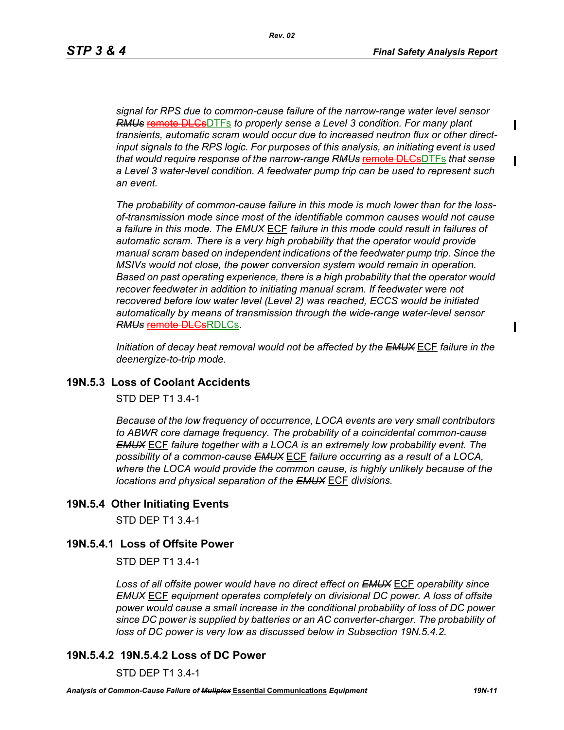Ι

*signal for RPS due to common-cause failure of the narrow-range water level sensor RMUs* remote DLCsDTFs *to properly sense a Level 3 condition. For many plant transients, automatic scram would occur due to increased neutron flux or other directinput signals to the RPS logic. For purposes of this analysis, an initiating event is used that would require response of the narrow-range RMUs* remote DLCsDTFs *that sense a Level 3 water-level condition. A feedwater pump trip can be used to represent such an event.*

*The probability of common-cause failure in this mode is much lower than for the lossof-transmission mode since most of the identifiable common causes would not cause a failure in this mode. The EMUX* ECF *failure in this mode could result in failures of*  automatic scram. There is a very high probability that the operator would provide *manual scram based on independent indications of the feedwater pump trip. Since the MSIVs would not close, the power conversion system would remain in operation. Based on past operating experience, there is a high probability that the operator would*  recover feedwater in addition to initiating manual scram. If feedwater were not *recovered before low water level (Level 2) was reached, ECCS would be initiated automatically by means of transmission through the wide-range water-level sensor RMUs* remote DLCsRDLCs*.* 

*Initiation of decay heat removal would not be affected by the EMUX* ECF *failure in the deenergize-to-trip mode.*

### **19N.5.3 Loss of Coolant Accidents**

STD DEP T1 3.4-1

*Because of the low frequency of occurrence, LOCA events are very small contributors to ABWR core damage frequency. The probability of a coincidental common-cause EMUX* ECF *failure together with a LOCA is an extremely low probability event. The possibility of a common-cause EMUX* ECF *failure occurring as a result of a LOCA, where the LOCA would provide the common cause, is highly unlikely because of the locations and physical separation of the EMUX* ECF *divisions.* 

### **19N.5.4 Other Initiating Events**

STD DEP T1 3.4-1

### **19N.5.4.1 Loss of Offsite Power**

STD DEP T1 3.4-1

*Loss of all offsite power would have no direct effect on EMUX* ECF *operability since EMUX* ECF *equipment operates completely on divisional DC power. A loss of offsite power would cause a small increase in the conditional probability of loss of DC power since DC power is supplied by batteries or an AC converter-charger. The probability of loss of DC power is very low as discussed below in Subsection 19N.5.4.2.* 

### **19N.5.4.2 19N.5.4.2 Loss of DC Power**

STD DEP T1 3.4-1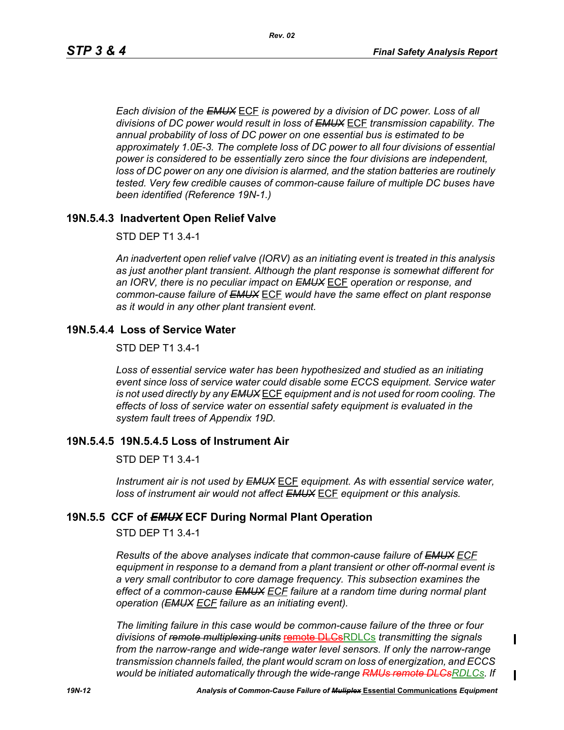*Each division of the EMUX* ECF *is powered by a division of DC power. Loss of all divisions of DC power would result in loss of EMUX* ECF *transmission capability. The annual probability of loss of DC power on one essential bus is estimated to be approximately 1.0E-3. The complete loss of DC power to all four divisions of essential power is considered to be essentially zero since the four divisions are independent, loss of DC power on any one division is alarmed, and the station batteries are routinely tested. Very few credible causes of common-cause failure of multiple DC buses have been identified (Reference 19N-1.)*

# **19N.5.4.3 Inadvertent Open Relief Valve**

#### STD DEP T1 3.4-1

*An inadvertent open relief valve (IORV) as an initiating event is treated in this analysis as just another plant transient. Although the plant response is somewhat different for an IORV, there is no peculiar impact on EMUX* ECF *operation or response, and common-cause failure of EMUX* ECF *would have the same effect on plant response as it would in any other plant transient event.*

### **19N.5.4.4 Loss of Service Water**

STD DEP T1 3.4-1

*Loss of essential service water has been hypothesized and studied as an initiating event since loss of service water could disable some ECCS equipment. Service water is not used directly by any EMUX* ECF *equipment and is not used for room cooling. The effects of loss of service water on essential safety equipment is evaluated in the system fault trees of Appendix 19D.* 

### **19N.5.4.5 19N.5.4.5 Loss of Instrument Air**

#### STD DEP T1 3.4-1

*Instrument air is not used by EMUX* ECF *equipment. As with essential service water, loss of instrument air would not affect EMUX* ECF *equipment or this analysis.* 

## **19N.5.5 CCF of** *EMUX* **ECF During Normal Plant Operation**

STD DEP T1 3.4-1

*Results of the above analyses indicate that common-cause failure of EMUX ECF equipment in response to a demand from a plant transient or other off-normal event is a very small contributor to core damage frequency. This subsection examines the effect of a common-cause EMUX ECF failure at a random time during normal plant operation (EMUX ECF failure as an initiating event).* 

*The limiting failure in this case would be common-cause failure of the three or four divisions of remote multiplexing units* remote DLCsRDLCs *transmitting the signals from the narrow-range and wide-range water level sensors. If only the narrow-range transmission channels failed, the plant would scram on loss of energization, and ECCS would be initiated automatically through the wide-range RMUs remote DLCsRDLCs. If* 

 $\mathbf I$ 

Ш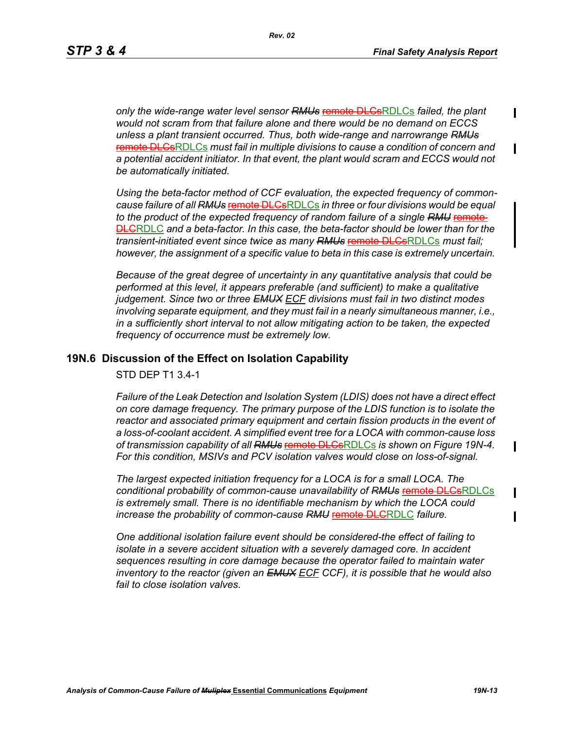*only the wide-range water level sensor RMUs* remote DLCsRDLCs *failed, the plant would not scram from that failure alone and there would be no demand on ECCS unless a plant transient occurred. Thus, both wide-range and narrowrange RMUs* remote DLCsRDLCs *must fail in multiple divisions to cause a condition of concern and a potential accident initiator. In that event, the plant would scram and ECCS would not be automatically initiated.* 

*Using the beta-factor method of CCF evaluation, the expected frequency of commoncause failure of all RMUs* remote DLCsRDLCs *in three or four divisions would be equal to the product of the expected frequency of random failure of a single RMU* remote DLCRDLC *and a beta-factor. In this case, the beta-factor should be lower than for the transient-initiated event since twice as many RMUs* remote DLCsRDLCs *must fail; however, the assignment of a specific value to beta in this case is extremely uncertain.* 

*Because of the great degree of uncertainty in any quantitative analysis that could be performed at this level, it appears preferable (and sufficient) to make a qualitative judgement. Since two or three EMUX ECF divisions must fail in two distinct modes involving separate equipment, and they must fail in a nearly simultaneous manner, i.e., in a sufficiently short interval to not allow mitigating action to be taken, the expected frequency of occurrence must be extremely low.*

#### **19N.6 Discussion of the Effect on Isolation Capability**

STD DEP T1 3.4-1

*Failure of the Leak Detection and Isolation System (LDIS) does not have a direct effect on core damage frequency. The primary purpose of the LDIS function is to isolate the reactor and associated primary equipment and certain fission products in the event of a loss-of-coolant accident. A simplified event tree for a LOCA with common-cause loss of transmission capability of all RMUs* remote DLCsRDLCs *is shown on Figure 19N-4. For this condition, MSIVs and PCV isolation valves would close on loss-of-signal.* 

*The largest expected initiation frequency for a LOCA is for a small LOCA. The conditional probability of common-cause unavailability of RMUs* remote DLCsRDLCs *is extremely small. There is no identifiable mechanism by which the LOCA could increase the probability of common-cause RMU* remote DLCRDLC *failure.*

*One additional isolation failure event should be considered-the effect of failing to isolate in a severe accident situation with a severely damaged core. In accident sequences resulting in core damage because the operator failed to maintain water inventory to the reactor (given an EMUX ECF CCF), it is possible that he would also fail to close isolation valves.*

 $\mathbf I$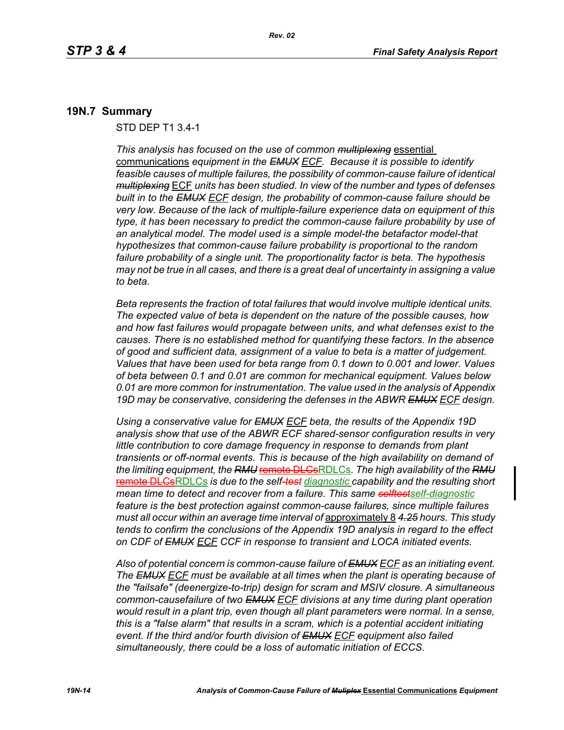#### **19N.7 Summary**

STD DEP T1 3.4-1

*This analysis has focused on the use of common multiplexing* essential communications *equipment in the EMUX ECF. Because it is possible to identify feasible causes of multiple failures, the possibility of common-cause failure of identical multiplexing* ECF *units has been studied. In view of the number and types of defenses built in to the EMUX ECF design, the probability of common-cause failure should be very low. Because of the lack of multiple-failure experience data on equipment of this type, it has been necessary to predict the common-cause failure probability by use of an analytical model. The model used is a simple model-the betafactor model-that hypothesizes that common-cause failure probability is proportional to the random failure probability of a single unit. The proportionality factor is beta. The hypothesis may not be true in all cases, and there is a great deal of uncertainty in assigning a value to beta.* 

*Beta represents the fraction of total failures that would involve multiple identical units. The expected value of beta is dependent on the nature of the possible causes, how and how fast failures would propagate between units, and what defenses exist to the causes. There is no established method for quantifying these factors. In the absence of good and sufficient data, assignment of a value to beta is a matter of judgement. Values that have been used for beta range from 0.1 down to 0.001 and lower. Values of beta between 0.1 and 0.01 are common for mechanical equipment. Values below 0.01 are more common for instrumentation. The value used in the analysis of Appendix 19D may be conservative, considering the defenses in the ABWR EMUX ECF design.* 

*Using a conservative value for EMUX ECF beta, the results of the Appendix 19D analysis show that use of the ABWR ECF shared-sensor configuration results in very little contribution to core damage frequency in response to demands from plant transients or off-normal events. This is because of the high availability on demand of*  the limiting equipment, the RMU remote DLCsRDLCs. The high availability of the RMU remote DLCsRDLCs *is due to the self-test diagnostic capability and the resulting short mean time to detect and recover from a failure. This same selftestself-diagnostic feature is the best protection against common-cause failures, since multiple failures must all occur within an average time interval of* approximately 8 *4.25 hours. This study tends to confirm the conclusions of the Appendix 19D analysis in regard to the effect on CDF of EMUX ECF CCF in response to transient and LOCA initiated events.*

*Also of potential concern is common-cause failure of EMUX ECF as an initiating event. The EMUX ECF must be available at all times when the plant is operating because of the "failsafe" (deenergize-to-trip) design for scram and MSIV closure. A simultaneous common-causefailure of two EMUX ECF divisions at any time during plant operation would result in a plant trip, even though all plant parameters were normal. In a sense, this is a "false alarm" that results in a scram, which is a potential accident initiating event. If the third and/or fourth division of EMUX ECF equipment also failed simultaneously, there could be a loss of automatic initiation of ECCS.*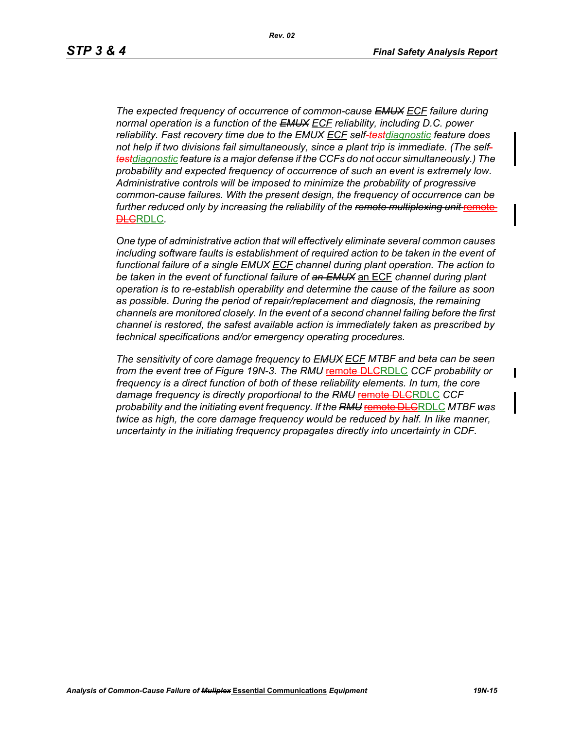*The expected frequency of occurrence of common-cause EMUX ECF failure during normal operation is a function of the EMUX ECF reliability, including D.C. power reliability. Fast recovery time due to the EMUX ECF self-testdiagnostic feature does not help if two divisions fail simultaneously, since a plant trip is immediate. (The selftestdiagnostic feature is a major defense if the CCFs do not occur simultaneously.) The probability and expected frequency of occurrence of such an event is extremely low. Administrative controls will be imposed to minimize the probability of progressive common-cause failures. With the present design, the frequency of occurrence can be*  further reduced only by increasing the reliability of the remote multiplexing unit remote **DLCRDLC**.

*One type of administrative action that will effectively eliminate several common causes including software faults is establishment of required action to be taken in the event of functional failure of a single EMUX ECF channel during plant operation. The action to be taken in the event of functional failure of an EMUX* an ECF *channel during plant operation is to re-establish operability and determine the cause of the failure as soon as possible. During the period of repair/replacement and diagnosis, the remaining channels are monitored closely. In the event of a second channel failing before the first channel is restored, the safest available action is immediately taken as prescribed by technical specifications and/or emergency operating procedures.* 

*The sensitivity of core damage frequency to EMUX ECF MTBF and beta can be seen from the event tree of Figure 19N-3. The RMU* remote DLCRDLC *CCF probability or frequency is a direct function of both of these reliability elements. In turn, the core*  damage frequency is directly proportional to the RMU remote DLGRDLC CCF *probability and the initiating event frequency. If the RMU* remote DLCRDLC *MTBF was twice as high, the core damage frequency would be reduced by half. In like manner, uncertainty in the initiating frequency propagates directly into uncertainty in CDF.*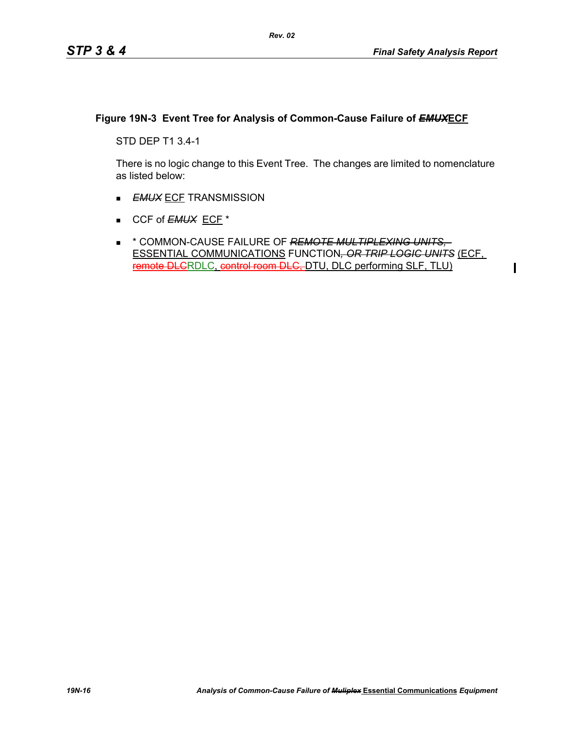$\blacksquare$ 

# **Figure 19N-3 Event Tree for Analysis of Common-Cause Failure of** *EMUX***ECF**

STD DEP T1 3.4-1

There is no logic change to this Event Tree. The changes are limited to nomenclature as listed below:

- **EMUX ECF TRANSMISSION**
- CCF of **EMUX** ECF<sup>\*</sup>
- \* COMMON-CAUSE FAILURE OF *REMOTE MULTIPLEXING UNITS,*  ESSENTIAL COMMUNICATIONS FUNCTION*, OR TRIP LOGIC UNITS* (ECF, remote DLCRDLC, control room DLC, DTU, DLC performing SLF, TLU)